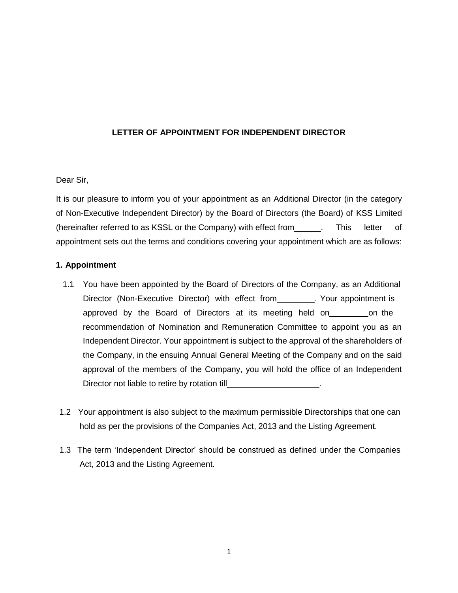# **LETTER OF APPOINTMENT FOR INDEPENDENT DIRECTOR**

# Dear Sir,

It is our pleasure to inform you of your appointment as an Additional Director (in the category of Non-Executive Independent Director) by the Board of Directors (the Board) of KSS Limited (hereinafter referred to as KSSL or the Company) with effect from \_\_\_\_\_\_. This letter of appointment sets out the terms and conditions covering your appointment which are as follows:

## **1. Appointment**

- 1.1 You have been appointed by the Board of Directors of the Company, as an Additional Director (Non-Executive Director) with effect from . Your appointment is approved by the Board of Directors at its meeting held on on the recommendation of Nomination and Remuneration Committee to appoint you as an Independent Director. Your appointment is subject to the approval of the shareholders of the Company, in the ensuing Annual General Meeting of the Company and on the said approval of the members of the Company, you will hold the office of an Independent Director not liable to retire by rotation till
- 1.2 Your appointment is also subject to the maximum permissible Directorships that one can hold as per the provisions of the Companies Act, 2013 and the Listing Agreement.
- 1.3 The term 'Independent Director' should be construed as defined under the Companies Act, 2013 and the Listing Agreement.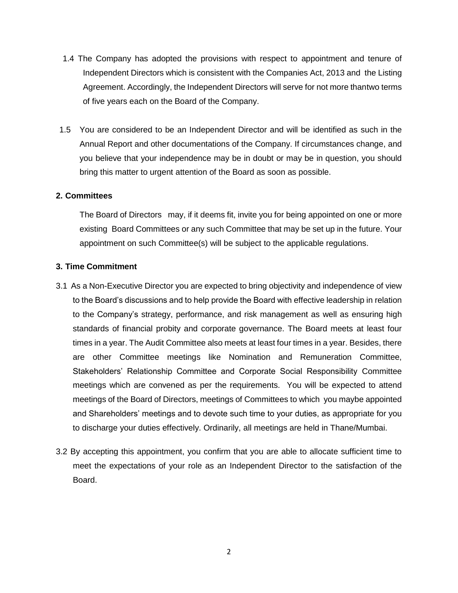- 1.4 The Company has adopted the provisions with respect to appointment and tenure of Independent Directors which is consistent with the Companies Act, 2013 and the Listing Agreement. Accordingly, the Independent Directors will serve for not more thantwo terms of five years each on the Board of the Company.
- 1.5 You are considered to be an Independent Director and will be identified as such in the Annual Report and other documentations of the Company. If circumstances change, and you believe that your independence may be in doubt or may be in question, you should bring this matter to urgent attention of the Board as soon as possible.

### **2. Committees**

The Board of Directors may, if it deems fit, invite you for being appointed on one or more existing Board Committees or any such Committee that may be set up in the future. Your appointment on such Committee(s) will be subject to the applicable regulations.

### **3. Time Commitment**

- 3.1 As a Non-Executive Director you are expected to bring objectivity and independence of view to the Board's discussions and to help provide the Board with effective leadership in relation to the Company's strategy, performance, and risk management as well as ensuring high standards of financial probity and corporate governance. The Board meets at least four times in a year. The Audit Committee also meets at least four times in a year. Besides, there are other Committee meetings like Nomination and Remuneration Committee, Stakeholders' Relationship Committee and Corporate Social Responsibility Committee meetings which are convened as per the requirements. You will be expected to attend meetings of the Board of Directors, meetings of Committees to which you maybe appointed and Shareholders' meetings and to devote such time to your duties, as appropriate for you to discharge your duties effectively. Ordinarily, all meetings are held in Thane/Mumbai.
- 3.2 By accepting this appointment, you confirm that you are able to allocate sufficient time to meet the expectations of your role as an Independent Director to the satisfaction of the Board.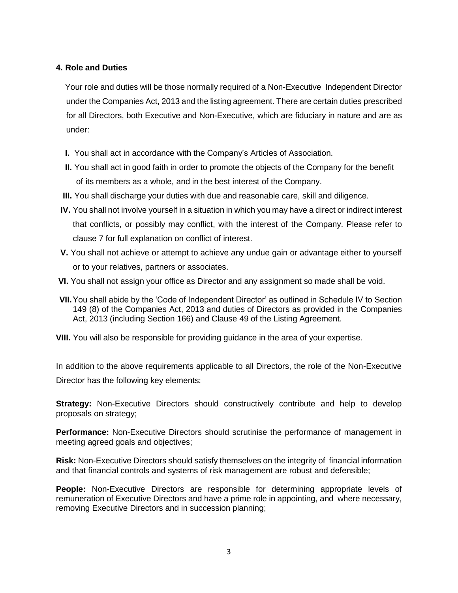## **4. Role and Duties**

Your role and duties will be those normally required of a Non-Executive Independent Director under the Companies Act, 2013 and the listing agreement. There are certain duties prescribed for all Directors, both Executive and Non-Executive, which are fiduciary in nature and are as under:

- **I.** You shall act in accordance with the Company's Articles of Association.
- **II.** You shall act in good faith in order to promote the objects of the Company for the benefit of its members as a whole, and in the best interest of the Company.
- **III.** You shall discharge your duties with due and reasonable care, skill and diligence.
- **IV.** You shall not involve yourself in a situation in which you may have a direct or indirect interest that conflicts, or possibly may conflict, with the interest of the Company. Please refer to clause 7 for full explanation on conflict of interest.
- **V.** You shall not achieve or attempt to achieve any undue gain or advantage either to yourself or to your relatives, partners or associates.
- **VI.** You shall not assign your office as Director and any assignment so made shall be void.
- **VII.**You shall abide by the 'Code of Independent Director' as outlined in Schedule IV to Section 149 (8) of the Companies Act, 2013 and duties of Directors as provided in the Companies Act, 2013 (including Section 166) and Clause 49 of the Listing Agreement.
- **VIII.** You will also be responsible for providing guidance in the area of your expertise.

In addition to the above requirements applicable to all Directors, the role of the Non-Executive Director has the following key elements:

**Strategy:** Non-Executive Directors should constructively contribute and help to develop proposals on strategy;

**Performance:** Non-Executive Directors should scrutinise the performance of management in meeting agreed goals and objectives;

**Risk:** Non-Executive Directors should satisfy themselves on the integrity of financial information and that financial controls and systems of risk management are robust and defensible;

**People:** Non-Executive Directors are responsible for determining appropriate levels of remuneration of Executive Directors and have a prime role in appointing, and where necessary, removing Executive Directors and in succession planning;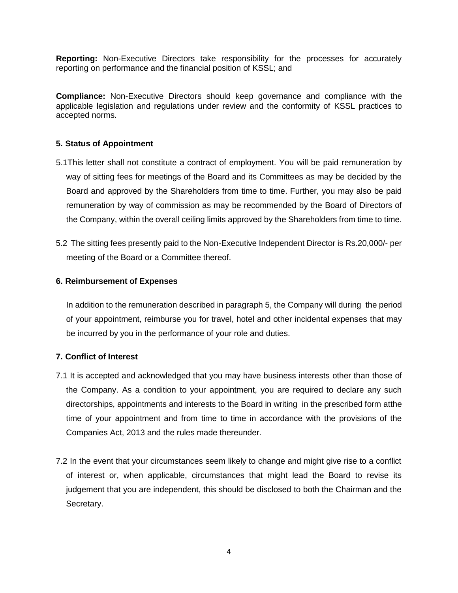**Reporting:** Non-Executive Directors take responsibility for the processes for accurately reporting on performance and the financial position of KSSL; and

**Compliance:** Non-Executive Directors should keep governance and compliance with the applicable legislation and regulations under review and the conformity of KSSL practices to accepted norms.

# **5. Status of Appointment**

- 5.1This letter shall not constitute a contract of employment. You will be paid remuneration by way of sitting fees for meetings of the Board and its Committees as may be decided by the Board and approved by the Shareholders from time to time. Further, you may also be paid remuneration by way of commission as may be recommended by the Board of Directors of the Company, within the overall ceiling limits approved by the Shareholders from time to time.
- 5.2 The sitting fees presently paid to the Non-Executive Independent Director is Rs.20,000/- per meeting of the Board or a Committee thereof.

## **6. Reimbursement of Expenses**

In addition to the remuneration described in paragraph 5, the Company will during the period of your appointment, reimburse you for travel, hotel and other incidental expenses that may be incurred by you in the performance of your role and duties.

## **7. Conflict of Interest**

- 7.1 It is accepted and acknowledged that you may have business interests other than those of the Company. As a condition to your appointment, you are required to declare any such directorships, appointments and interests to the Board in writing in the prescribed form atthe time of your appointment and from time to time in accordance with the provisions of the Companies Act, 2013 and the rules made thereunder.
- 7.2 In the event that your circumstances seem likely to change and might give rise to a conflict of interest or, when applicable, circumstances that might lead the Board to revise its judgement that you are independent, this should be disclosed to both the Chairman and the Secretary.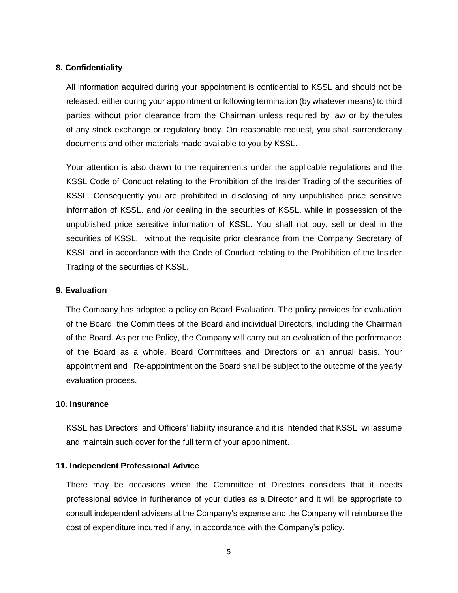### **8. Confidentiality**

All information acquired during your appointment is confidential to KSSL and should not be released, either during your appointment or following termination (by whatever means) to third parties without prior clearance from the Chairman unless required by law or by therules of any stock exchange or regulatory body. On reasonable request, you shall surrenderany documents and other materials made available to you by KSSL.

Your attention is also drawn to the requirements under the applicable regulations and the KSSL Code of Conduct relating to the Prohibition of the Insider Trading of the securities of KSSL. Consequently you are prohibited in disclosing of any unpublished price sensitive information of KSSL. and /or dealing in the securities of KSSL, while in possession of the unpublished price sensitive information of KSSL. You shall not buy, sell or deal in the securities of KSSL. without the requisite prior clearance from the Company Secretary of KSSL and in accordance with the Code of Conduct relating to the Prohibition of the Insider Trading of the securities of KSSL.

### **9. Evaluation**

The Company has adopted a policy on Board Evaluation. The policy provides for evaluation of the Board, the Committees of the Board and individual Directors, including the Chairman of the Board. As per the Policy, the Company will carry out an evaluation of the performance of the Board as a whole, Board Committees and Directors on an annual basis. Your appointment and Re-appointment on the Board shall be subject to the outcome of the yearly evaluation process.

### **10. Insurance**

KSSL has Directors' and Officers' liability insurance and it is intended that KSSL willassume and maintain such cover for the full term of your appointment.

### **11. Independent Professional Advice**

There may be occasions when the Committee of Directors considers that it needs professional advice in furtherance of your duties as a Director and it will be appropriate to consult independent advisers at the Company's expense and the Company will reimburse the cost of expenditure incurred if any, in accordance with the Company's policy.